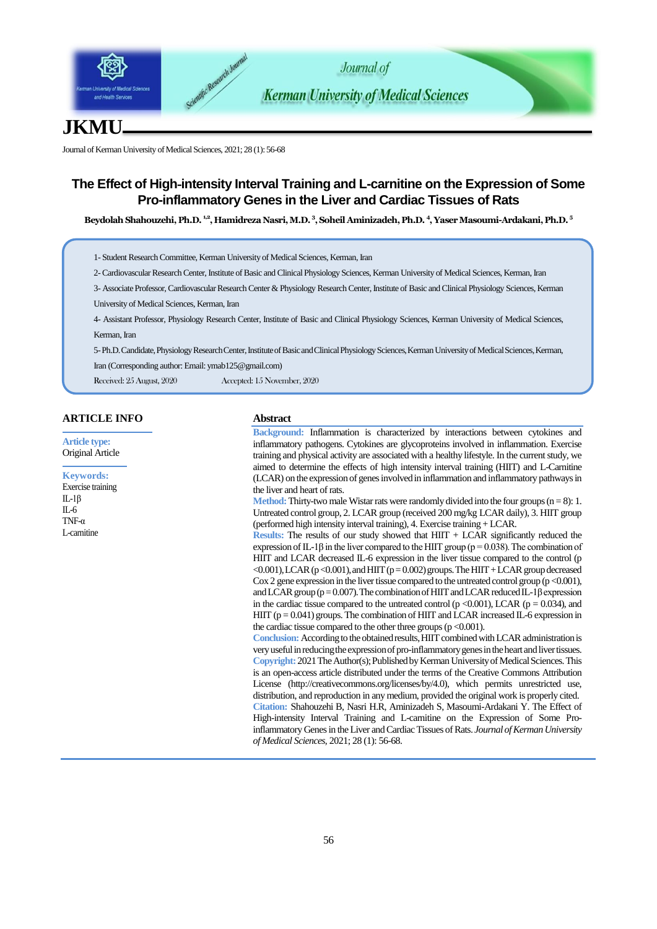

# **JKMU**

Journal of Kerman University of Medical Sciences, 2021; 28 (1): 56-68

# **The Effect of High-intensity Interval Training and L-carnitine on the Expression of Some Pro-inflammatory Genes in the Liver and Cardiac Tissues of Rats**

**Beydolah Shahouzehi, Ph.D. 1,2, Hamidreza Nasri, M.D. <sup>3</sup> , Soheil Aminizadeh, Ph.D. <sup>4</sup> , Yaser Masoumi-Ardakani, Ph.D. <sup>5</sup>**

1- Student Research Committee, Kerman University of Medical Sciences, Kerman, Iran

2-Cardiovascular Research Center, Institute of Basic and Clinical Physiology Sciences, Kerman University of Medical Sciences, Kerman, Iran

3- Associate Professor, Cardiovascular Research Center & Physiology Research Center, Institute of Basic and Clinical Physiology Sciences, Kerman University of Medical Sciences, Kerman, Iran

4- Assistant Professor, Physiology Research Center, Institute of Basic and Clinical Physiology Sciences, Kerman University of Medical Sciences, Kerman, Iran

5-Ph.D.Candidate,Physiology Research Center, Institute ofBasic and Clinical Physiology Sciences, Kerman University of Medical Sciences, Kerman,

Iran (Corresponding author: Emai[l: ymab125@gmail.com](mailto:ymab125@gmail.com))

Received: 25 August, 2020 Accepted: 15 November, 2020

## **ARTICLE INFO**

**Article type:** Original Article

#### **Keywords:**

Exercise training IL-1β  $IL-6$ TNF-α L-carnitine

## **Abstract**

**Background:** Inflammation is characterized by interactions between cytokines and inflammatory pathogens. Cytokines are glycoproteins involved in inflammation. Exercise training and physical activity are associated with a healthy lifestyle. In the current study, we aimed to determine the effects of high intensity interval training (HIIT) and L-Carnitine (LCAR) on the expression of genes involved in inflammation and inflammatory pathways in the liver and heart of rats.

**Method:** Thirty-two male Wistar rats were randomly divided into the four groups  $(n = 8)$ : 1. Untreated control group, 2. LCAR group (received 200 mg/kg LCAR daily), 3. HIIT group (performed high intensity interval training), 4. Exercise training + LCAR.

**Results:** The results of our study showed that HIIT + LCAR significantly reduced the expression of IL-1 $\beta$  in the liver compared to the HIIT group (p = 0.038). The combination of HIIT and LCAR decreased IL-6 expression in the liver tissue compared to the control (p  $< 0.001$ ), LCAR (p $< 0.001$ ), and HIIT (p $= 0.002$ ) groups. The HIIT + LCAR group decreased Cox 2 gene expression in the liver tissue compared to the untreated control group ( $p < 0.001$ ), and LCAR group ( $p = 0.007$ ). The combination of HIIT and LCAR reduced IL-1 $\beta$  expression in the cardiac tissue compared to the untreated control ( $p < 0.001$ ), LCAR ( $p = 0.034$ ), and HIIT ( $p = 0.041$ ) groups. The combination of HIIT and LCAR increased IL-6 expression in the cardiac tissue compared to the other three groups  $(p < 0.001)$ .

**Conclusion:** According to the obtained results, HIIT combined with LCAR administration is very useful in reducing the expression of pro-inflammatory genes in the heart and liver tissues. **Copyright:** 2021 The Author(s); Published by Kerman University of Medical Sciences. This is an open-access article distributed under the terms of the Creative Commons Attribution License (http://creativecommons.org/licenses/by/4.0), which permits unrestricted use, distribution, and reproduction in any medium, provided the original work is properly cited. **Citation:** Shahouzehi B, Nasri H.R, Aminizadeh S, Masoumi-Ardakani Y. The Effect of High-intensity Interval Training and L-carnitine on the Expression of Some Proinflammatory Genes in the Liver and Cardiac Tissues of Rats. *Journal of Kerman University of Medical Sciences*, 2021; 28 (1): 56-68.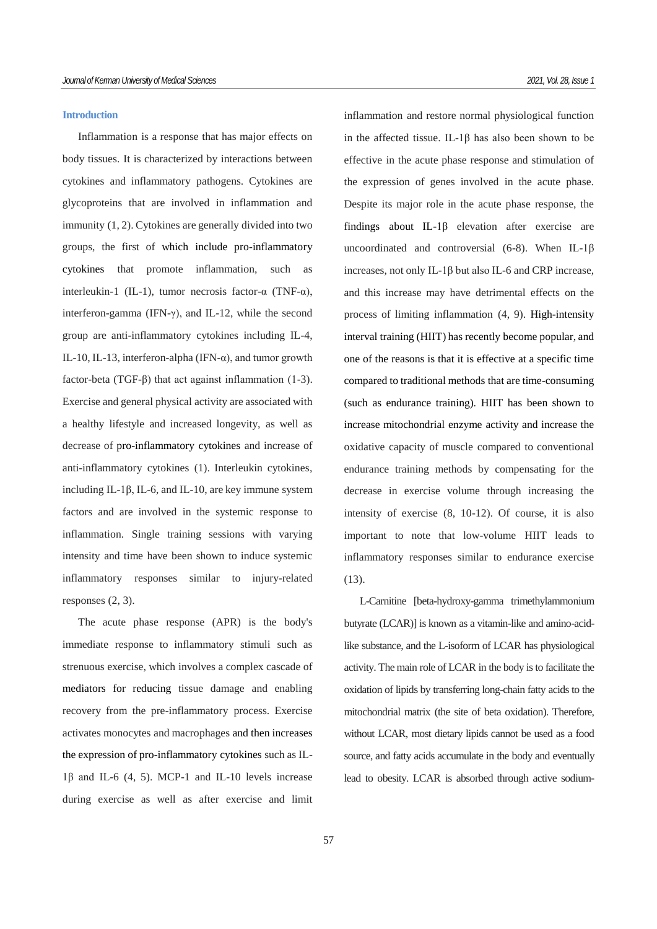#### **Introduction**

Inflammation is a response that has major effects on body tissues. It is characterized by interactions between cytokines and inflammatory pathogens. Cytokines are glycoproteins that are involved in inflammation and immunity (1, 2). Cytokines are generally divided into two groups, the first of which include pro-inflammatory cytokines that promote inflammation, such as interleukin-1 (IL-1), tumor necrosis factor-α (TNF-α), interferon-gamma (IFN- $\gamma$ ), and IL-12, while the second group are anti-inflammatory cytokines including IL-4, IL-10, IL-13, interferon-alpha (IFN- $\alpha$ ), and tumor growth factor-beta (TGF-β) that act against inflammation (1-3). Exercise and general physical activity are associated with a healthy lifestyle and increased longevity, as well as decrease of pro-inflammatory cytokines and increase of anti-inflammatory cytokines (1). Interleukin cytokines, including IL-1β, IL-6, and IL-10, are key immune system factors and are involved in the systemic response to inflammation. Single training sessions with varying intensity and time have been shown to induce systemic inflammatory responses similar to injury-related responses (2, 3).

The acute phase response (APR) is the body's immediate response to inflammatory stimuli such as strenuous exercise, which involves a complex cascade of mediators for reducing tissue damage and enabling recovery from the pre-inflammatory process. Exercise activates monocytes and macrophages and then increases the expression of pro-inflammatory cytokines such as IL-1β and IL-6 (4, 5). MCP-1 and IL-10 levels increase during exercise as well as after exercise and limit

inflammation and restore normal physiological function in the affected tissue. IL-1β has also been shown to be effective in the acute phase response and stimulation of the expression of genes involved in the acute phase. Despite its major role in the acute phase response, the findings about IL-1β elevation after exercise are uncoordinated and controversial (6-8). When IL-1β increases, not only IL-1β but also IL-6 and CRP increase, and this increase may have detrimental effects on the process of limiting inflammation (4, 9). High-intensity interval training (HIIT) has recently become popular, and one of the reasons is that it is effective at a specific time compared to traditional methods that are time-consuming (such as endurance training). HIIT has been shown to increase mitochondrial enzyme activity and increase the oxidative capacity of muscle compared to conventional endurance training methods by compensating for the decrease in exercise volume through increasing the intensity of exercise (8, 10-12). Of course, it is also important to note that low-volume HIIT leads to inflammatory responses similar to endurance exercise (13).

L-Carnitine [beta-hydroxy-gamma trimethylammonium butyrate (LCAR)] is known as a vitamin-like and amino-acidlike substance, and the L-isoform of LCAR has physiological activity. The main role of LCAR in the body is to facilitate the oxidation of lipids by transferring long-chain fatty acids to the mitochondrial matrix (the site of beta oxidation). Therefore, without LCAR, most dietary lipids cannot be used as a food source, and fatty acids accumulate in the body and eventually lead to obesity. LCAR is absorbed through active sodium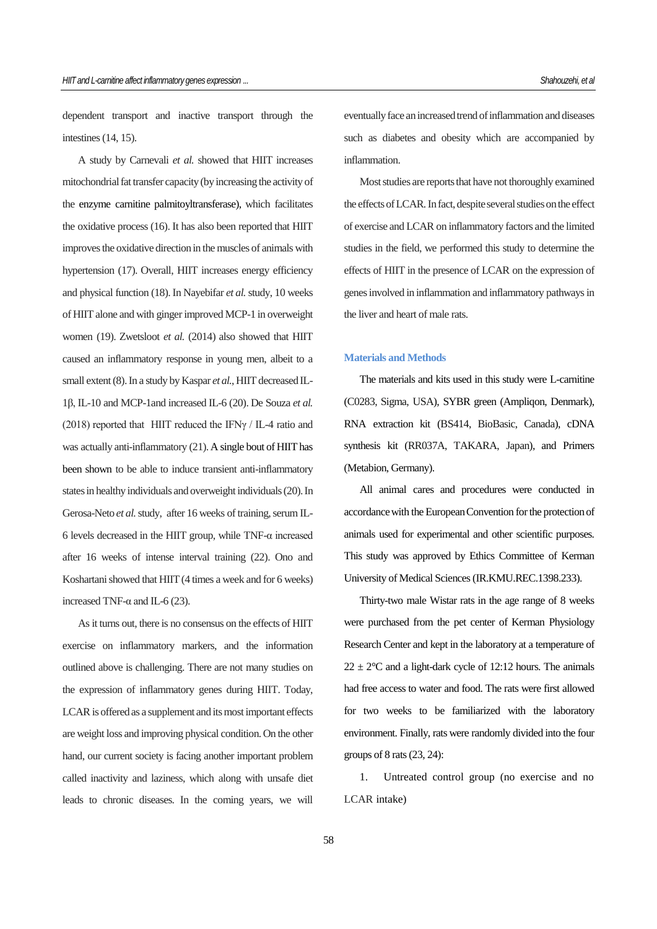dependent transport and inactive transport through the intestines (14, 15).

A study by Carnevali *et al.* showed that HIIT increases mitochondrial fat transfer capacity (by increasing the activity of the enzyme carnitine palmitoyltransferase), which facilitates the oxidative process (16). It has also been reported that HIIT improves the oxidative direction in the muscles of animals with hypertension (17). Overall, HIIT increases energy efficiency and physical function (18). In Nayebifar *et al.* study, 10 weeks of HIIT alone and with ginger improved MCP-1 in overweight women (19). Zwetsloot *et al.* (2014) also showed that HIIT caused an inflammatory response in young men, albeit to a small extent (8). In a study by Kaspar *et al.*, HIIT decreased IL-1β, IL-10 and MCP-1and increased IL-6 (20). De Souza *et al.* (2018) reported that HIIT reduced the IFNγ / IL-4 ratio and was actually anti-inflammatory (21). A single bout of HIIT has been shown to be able to induce transient anti-inflammatory states in healthy individuals and overweight individuals (20). In Gerosa-Neto *et al.* study, after 16 weeks of training, serum IL-6 levels decreased in the HIIT group, while TNF-α increased after 16 weeks of intense interval training (22). Ono and Koshartani showed that HIIT (4 times a week and for 6 weeks) increased TNF- $\alpha$  and IL-6 (23).

As it turns out, there is no consensus on the effects of HIIT exercise on inflammatory markers, and the information outlined above is challenging. There are not many studies on the expression of inflammatory genes during HIIT. Today, LCAR is offered as a supplement and its most important effects are weight loss and improving physical condition. On the other hand, our current society is facing another important problem called inactivity and laziness, which along with unsafe diet leads to chronic diseases. In the coming years, we will

eventually face an increased trend of inflammation and diseases such as diabetes and obesity which are accompanied by inflammation.

Most studies are reports that have not thoroughly examined the effects of LCAR. In fact, despite several studies on the effect of exercise and LCAR on inflammatory factors and the limited studies in the field, we performed this study to determine the effects of HIIT in the presence of LCAR on the expression of genes involved in inflammation and inflammatory pathways in the liver and heart of male rats.

## **Materials and Methods**

The materials and kits used in this study were L-carnitine (C0283, Sigma, USA), SYBR green (Ampliqon, Denmark), RNA extraction kit (BS414, BioBasic, Canada), cDNA synthesis kit (RR037A, TAKARA, Japan), and Primers (Metabion, Germany).

All animal cares and procedures were conducted in accordance with the European Convention for the protection of animals used for experimental and other scientific purposes. This study was approved by Ethics Committee of Kerman University of Medical Sciences (IR.KMU.REC.1398.233).

Thirty-two male Wistar rats in the age range of 8 weeks were purchased from the pet center of Kerman Physiology Research Center and kept in the laboratory at a temperature of  $22 \pm 2$ °C and a light-dark cycle of 12:12 hours. The animals had free access to water and food. The rats were first allowed for two weeks to be familiarized with the laboratory environment. Finally, rats were randomly divided into the four groups of 8 rats (23, 24):

1. Untreated control group (no exercise and no LCAR intake)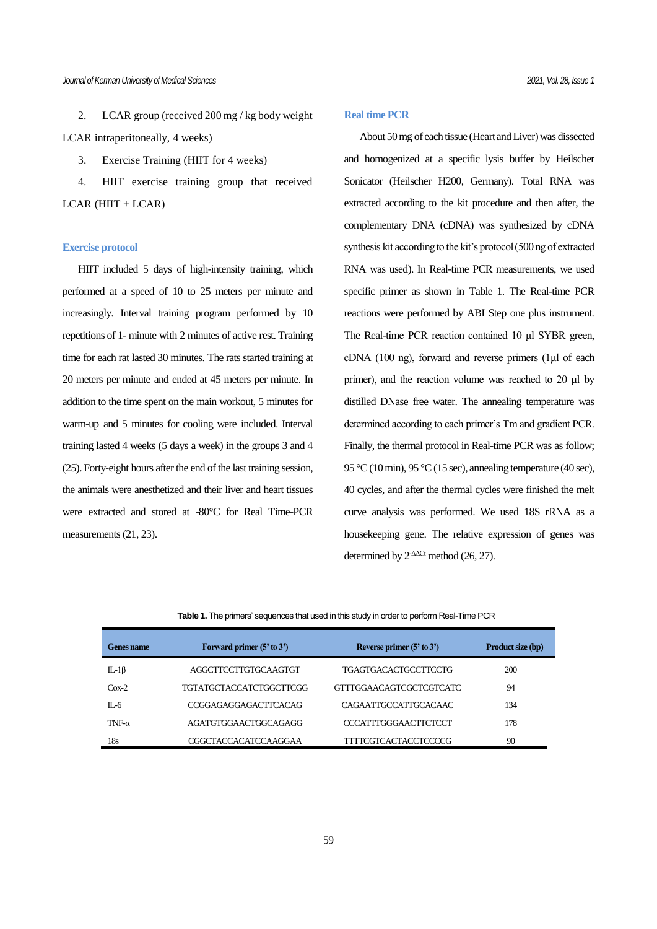2. LCAR group (received 200 mg / kg body weight LCAR intraperitoneally, 4 weeks)

3. Exercise Training (HIIT for 4 weeks)

4. HIIT exercise training group that received  $LCAR$  (HIIT +  $LCAR$ )

## **Exercise protocol**

HIIT included 5 days of high-intensity training, which performed at a speed of 10 to 25 meters per minute and increasingly. Interval training program performed by 10 repetitions of 1- minute with 2 minutes of active rest. Training time for each rat lasted 30 minutes. The rats started training at 20 meters per minute and ended at 45 meters per minute. In addition to the time spent on the main workout, 5 minutes for warm-up and 5 minutes for cooling were included. Interval training lasted 4 weeks (5 days a week) in the groups 3 and 4 (25). Forty-eight hours after the end of the last training session, the animals were anesthetized and their liver and heart tissues were extracted and stored at -80°C for Real Time-PCR measurements (21, 23).

### **Real time PCR**

About 50 mg of each tissue (Heart and Liver) was dissected and homogenized at a specific lysis buffer by Heilscher Sonicator (Heilscher H200, Germany). Total RNA was extracted according to the kit procedure and then after, the complementary DNA (cDNA) was synthesized by cDNA synthesis kit according to the kit's protocol (500 ng of extracted RNA was used). In Real-time PCR measurements, we used specific primer as shown in Table 1. The Real-time PCR reactions were performed by ABI Step one plus instrument. The Real-time PCR reaction contained 10 μl SYBR green, cDNA (100 ng), forward and reverse primers (1μl of each primer), and the reaction volume was reached to 20 μl by distilled DNase free water. The annealing temperature was determined according to each primer's Tm and gradient PCR. Finally, the thermal protocol in Real-time PCR was as follow; 95 °C (10 min), 95 °C (15 sec), annealing temperature (40 sec), 40 cycles, and after the thermal cycles were finished the melt curve analysis was performed. We used 18S rRNA as a housekeeping gene. The relative expression of genes was determined by 2-∆∆Ct method (26, 27).

#### **Table 1.** The primers' sequences that used in this study in order to perform Real-Time PCR

| Genes name    | Forward primer (5' to 3')   | Reverse primer $(5'$ to $3')$ | Product size (bp) |
|---------------|-----------------------------|-------------------------------|-------------------|
| $IL-1\beta$   | AGGCTTCCTTGTGCAAGTGT        | TGAGTGACACTGCCTTCCTG          | 200               |
| $Cox-2$       | TGTATGCTACCATCTGGCTTCGG     | GTTTGGAACAGTCGCTCGTCATC       | 94                |
| $\Pi_{c}$ 6   | <b>CCGGAGAGGAGACTTCACAG</b> | CAGAATTGCCATTGCACAAC          | 134               |
| TNF- $\alpha$ | AGATGTGGAACTGGCAGAGG        | CCCATTTGGGAACTTCTCCT          | 178               |
| 18s           | CGGCTACCACATCCAAGGAA        | TITTCGTCACTACCTCCCCG          | 90                |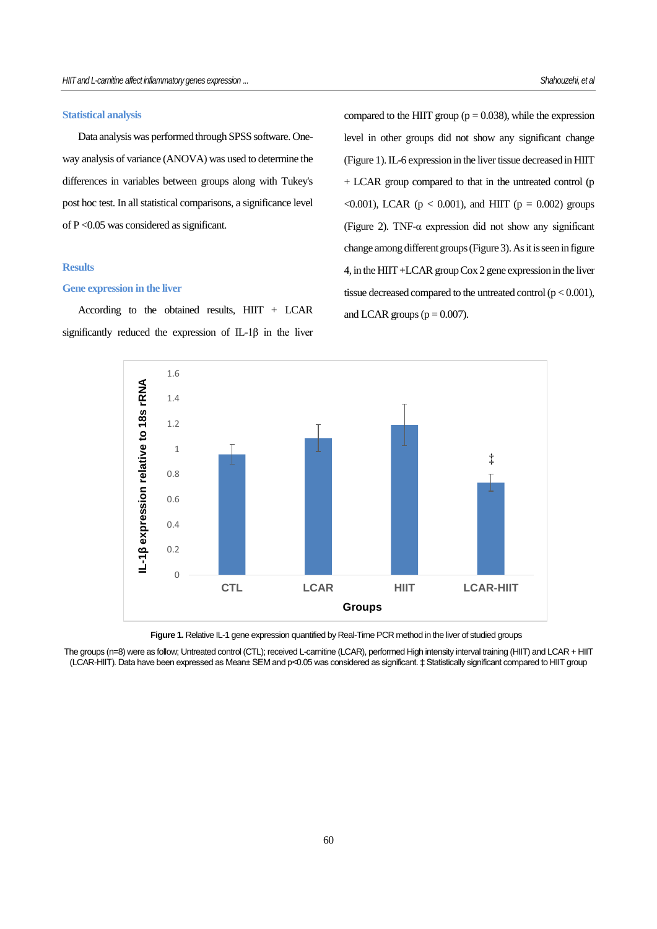## **Statistical analysis**

Data analysis was performed through SPSS software. Oneway analysis of variance (ANOVA) was used to determine the differences in variables between groups along with Tukey's post hoc test. In all statistical comparisons, a significance level of P <0.05 was considered as significant.

## **Results**

### **Gene expression in the liver**

According to the obtained results,  $HIT + LCAR$ significantly reduced the expression of IL-1β in the liver compared to the HIIT group ( $p = 0.038$ ), while the expression level in other groups did not show any significant change (Figure 1). IL-6 expression in the liver tissue decreased in HIIT + LCAR group compared to that in the untreated control (p  $\leq 0.001$ ), LCAR (p  $\leq 0.001$ ), and HIIT (p = 0.002) groups (Figure 2). TNF-α expression did not show any significant change among different groups (Figure 3). As it isseen in figure 4, in the HIIT +LCAR group Cox 2 gene expression in the liver tissue decreased compared to the untreated control  $(p < 0.001)$ , and LCAR groups ( $p = 0.007$ ).



**Figure 1.** Relative IL-1 gene expression quantified by Real-Time PCR method in the liver of studied groups

The groups (n=8) were as follow; Untreated control (CTL); received L-carnitine (LCAR), performed High intensity interval training (HIIT) and LCAR + HIIT (LCAR-HIIT). Data have been expressed as Mean± SEM and p<0.05 was considered as significant. ‡ Statistically significant compared to HIIT group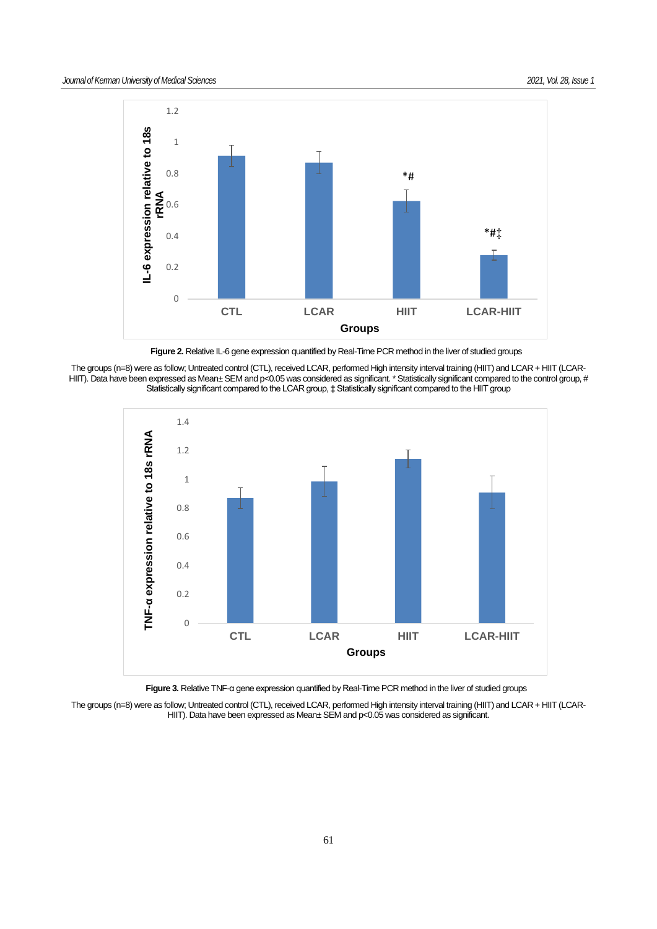



**Figure 2.** Relative IL-6 gene expression quantified by Real-Time PCR method in the liver of studied groups

The groups (n=8) were as follow; Untreated control (CTL), received LCAR, performed High intensity interval training (HIIT) and LCAR + HIIT (LCAR-HIIT). Data have been expressed as Mean± SEM and p<0.05 was considered as significant. \* Statistically significant compared to the control group, # Statistically significant compared to the LCAR group, ‡ Statistically significant compared to the HIIT group



**Figure 3.** Relative TNF-α gene expression quantified by Real-Time PCR method in the liver of studied groups

The groups (n=8) were as follow; Untreated control (CTL), received LCAR, performed High intensity interval training (HIIT) and LCAR + HIIT (LCAR-HIIT). Data have been expressed as Mean± SEM and p<0.05 was considered as significant.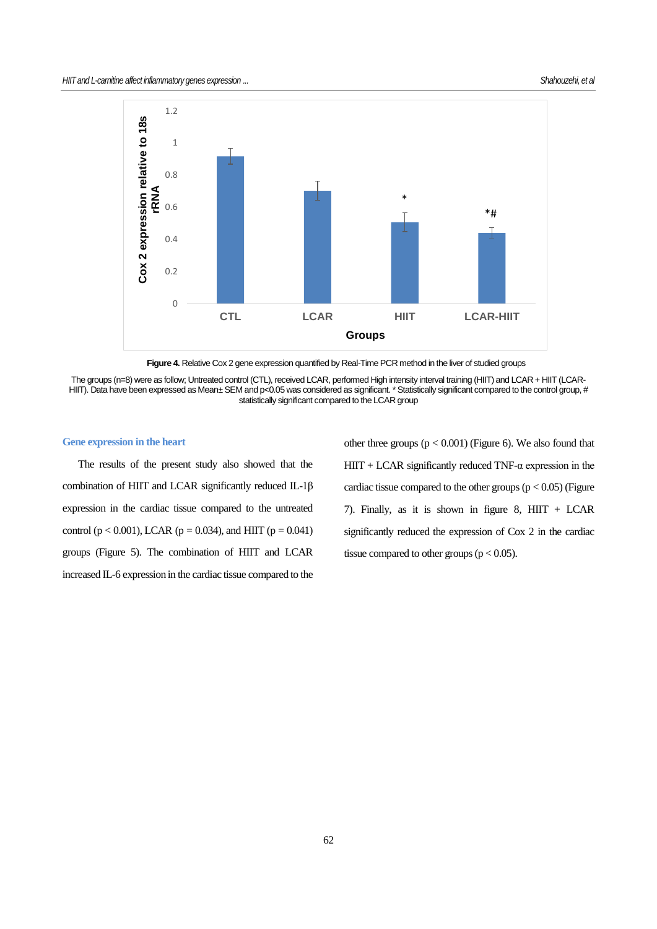

**Figure 4.** Relative Cox 2 gene expression quantified by Real-Time PCR method in the liver of studied groups

The groups (n=8) were as follow; Untreated control (CTL), received LCAR, performed High intensity interval training (HIIT) and LCAR + HIIT (LCAR-HIIT). Data have been expressed as Mean± SEM and p<0.05 was considered as significant. \* Statistically significant compared to the control group, # statistically significant compared to the LCAR group

### **Gene expression in the heart**

The results of the present study also showed that the combination of HIIT and LCAR significantly reduced IL-1β expression in the cardiac tissue compared to the untreated control ( $p < 0.001$ ), LCAR ( $p = 0.034$ ), and HIIT ( $p = 0.041$ ) groups (Figure 5). The combination of HIIT and LCAR increased IL-6 expression in the cardiac tissue compared to the other three groups  $(p < 0.001)$  (Figure 6). We also found that  $HIT + LCAR$  significantly reduced TNF- $\alpha$  expression in the cardiac tissue compared to the other groups ( $p < 0.05$ ) (Figure 7). Finally, as it is shown in figure 8,  $HIT + LCAR$ significantly reduced the expression of Cox 2 in the cardiac tissue compared to other groups ( $p < 0.05$ ).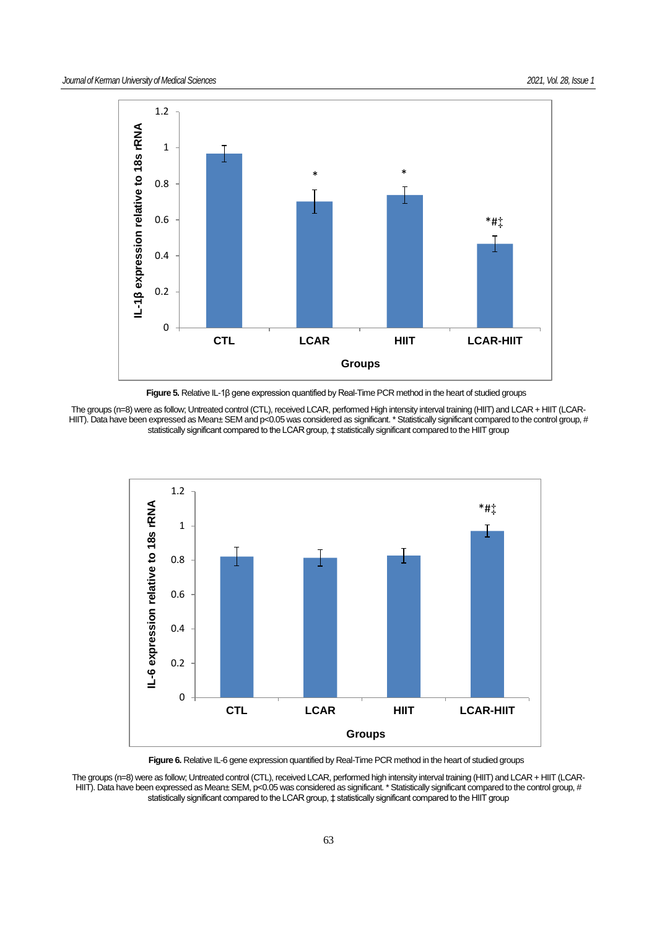

**Figure 5.** Relative IL-1β gene expression quantified by Real-Time PCR method in the heart of studied groups

The groups (n=8) were as follow; Untreated control (CTL), received LCAR, performed High intensity interval training (HIIT) and LCAR + HIIT (LCAR-HIIT). Data have been expressed as Mean± SEM and p<0.05 was considered as significant. \* Statistically significant compared to the control group, # statistically significant compared to the LCAR group, ‡ statistically significant compared to the HIIT group



Figure 6. Relative IL-6 gene expression quantified by Real-Time PCR method in the heart of studied groups

The groups (n=8) were as follow; Untreated control (CTL), received LCAR, performed high intensity interval training (HIIT) and LCAR + HIIT (LCAR-HIIT). Data have been expressed as Mean± SEM, p<0.05 was considered as significant. \* Statistically significant compared to the control group, # statistically significant compared to the LCAR group, ‡ statistically significant compared to the HIIT group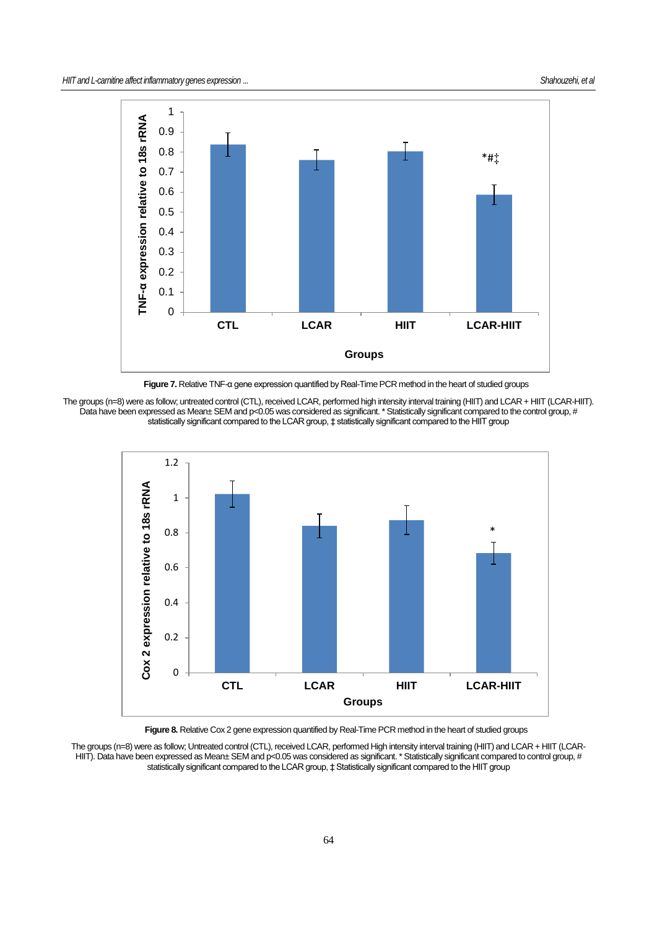

**Figure 7.** Relative TNF-α gene expression quantified by Real-Time PCR method in the heart of studied groups





**Figure 8.** Relative Cox 2 gene expression quantified by Real-Time PCR method in the heart of studied groups

The groups (n=8) were as follow; Untreated control (CTL), received LCAR, performed High intensity interval training (HIIT) and LCAR + HIIT (LCAR-HIIT). Data have been expressed as Mean± SEM and p<0.05 was considered as significant. \* Statistically significant compared to control group, # statistically significant compared to the LCAR group, ‡ Statistically significant compared to the HIIT group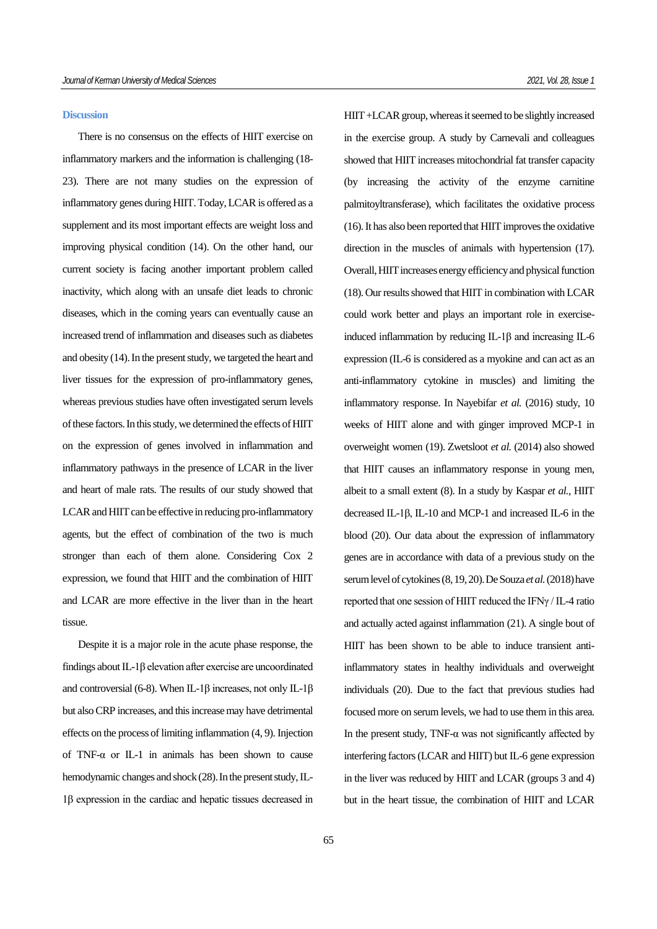#### **Discussion**

There is no consensus on the effects of HIIT exercise on inflammatory markers and the information is challenging (18- 23). There are not many studies on the expression of inflammatory genes during HIIT. Today, LCAR is offered as a supplement and its most important effects are weight loss and improving physical condition (14). On the other hand, our current society is facing another important problem called inactivity, which along with an unsafe diet leads to chronic diseases, which in the coming years can eventually cause an increased trend of inflammation and diseases such as diabetes and obesity (14). In the present study, we targeted the heart and liver tissues for the expression of pro-inflammatory genes, whereas previous studies have often investigated serum levels of these factors. In this study, we determined the effects of HIIT on the expression of genes involved in inflammation and inflammatory pathways in the presence of LCAR in the liver and heart of male rats. The results of our study showed that LCAR and HIIT can be effective in reducing pro-inflammatory agents, but the effect of combination of the two is much stronger than each of them alone. Considering Cox 2 expression, we found that HIIT and the combination of HIIT and LCAR are more effective in the liver than in the heart tissue.

Despite it is a major role in the acute phase response, the findings about IL-1β elevation after exercise are uncoordinated and controversial (6-8). When IL-1β increases, not only IL-1β but also CRP increases, and this increase may have detrimental effects on the process of limiting inflammation (4, 9). Injection of TNF-α or IL-1 in animals has been shown to cause hemodynamic changes and shock (28). In the present study, IL-1β expression in the cardiac and hepatic tissues decreased in HIIT +LCAR group, whereas it seemed to be slightly increased in the exercise group. A study by Carnevali and colleagues showed that HIIT increases mitochondrial fat transfer capacity (by increasing the activity of the enzyme carnitine palmitoyltransferase), which facilitates the oxidative process (16). It has also been reported that HIIT improves the oxidative direction in the muscles of animals with hypertension (17). Overall, HIIT increases energy efficiency and physical function (18). Our results showed that HIIT in combination with LCAR could work better and plays an important role in exerciseinduced inflammation by reducing IL-1β and increasing IL-6 expression (IL-6 is considered as a myokine and can act as an anti-inflammatory cytokine in muscles) and limiting the inflammatory response. In Nayebifar *et al.* (2016) study, 10 weeks of HIIT alone and with ginger improved MCP-1 in overweight women (19). Zwetsloot *et al.* (2014) also showed that HIIT causes an inflammatory response in young men, albeit to a small extent (8). In a study by Kaspar *et al.*, HIIT decreased IL-1β, IL-10 and MCP-1 and increased IL-6 in the blood (20). Our data about the expression of inflammatory genes are in accordance with data of a previous study on the serum level of cytokines (8, 19, 20). De Souza *etal.*(2018) have reported that one session of HIIT reduced the IFNγ / IL-4 ratio and actually acted against inflammation (21). A single bout of HIIT has been shown to be able to induce transient antiinflammatory states in healthy individuals and overweight individuals (20). Due to the fact that previous studies had focused more on serum levels, we had to use them in this area. In the present study, TNF- $\alpha$  was not significantly affected by interfering factors (LCAR and HIIT) but IL-6 gene expression in the liver was reduced by HIIT and LCAR (groups 3 and 4) but in the heart tissue, the combination of HIIT and LCAR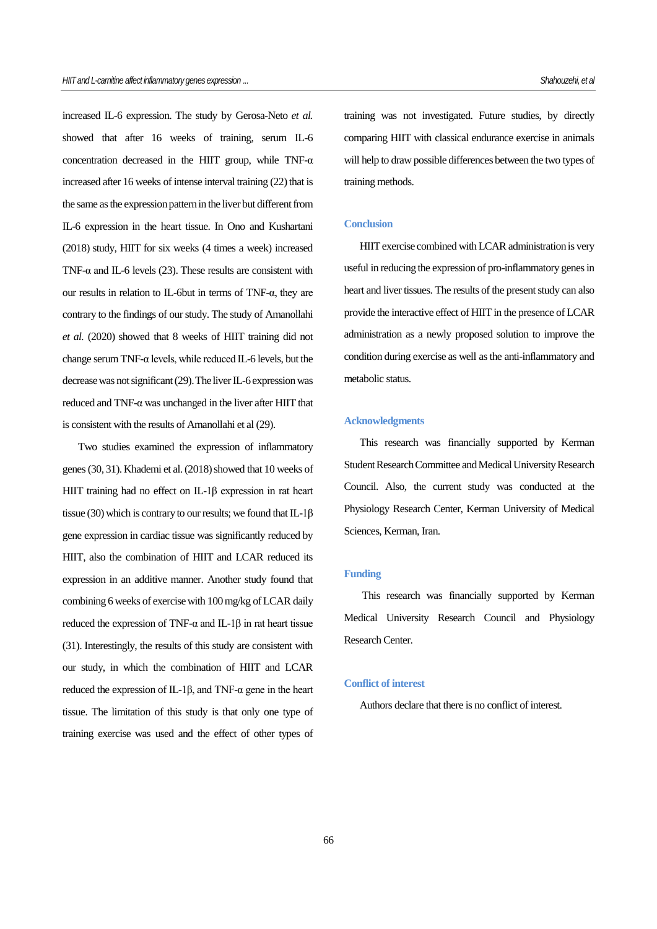increased IL-6 expression. The study by Gerosa-Neto *et al.* showed that after 16 weeks of training, serum IL-6 concentration decreased in the HIIT group, while TNF- $\alpha$ increased after 16 weeks of intense interval training (22) that is the same as the expression pattern in the liver but different from IL-6 expression in the heart tissue. In Ono and Kushartani (2018) study, HIIT for six weeks (4 times a week) increased TNF-α and IL-6 levels (23). These results are consistent with our results in relation to IL-6but in terms of TNF-α, they are contrary to the findings of our study. The study of Amanollahi *et al.* (2020) showed that 8 weeks of HIIT training did not change serum TNF- $\alpha$  levels, while reduced IL-6 levels, but the decrease was not significant (29). The liver IL-6 expression was reduced and TNF-α was unchanged in the liver after HIIT that is consistent with the results of Amanollahi et al (29).

Two studies examined the expression of inflammatory genes (30, 31). Khademi et al. (2018) showed that 10 weeks of HIIT training had no effect on IL-1β expression in rat heart tissue (30) which is contrary to our results; we found that  $IL-1\beta$ gene expression in cardiac tissue was significantly reduced by HIIT, also the combination of HIIT and LCAR reduced its expression in an additive manner. Another study found that combining 6 weeks of exercise with 100 mg/kg of LCAR daily reduced the expression of TNF-α and IL-1β in rat heart tissue (31). Interestingly, the results of this study are consistent with our study, in which the combination of HIIT and LCAR reduced the expression of IL-1β, and TNF-α gene in the heart tissue. The limitation of this study is that only one type of training exercise was used and the effect of other types of training was not investigated. Future studies, by directly comparing HIIT with classical endurance exercise in animals will help to draw possible differences between the two types of training methods.

#### **Conclusion**

HIIT exercise combined with LCAR administration is very useful in reducing the expression of pro-inflammatory genes in heart and liver tissues. The results of the present study can also provide the interactive effect of HIIT in the presence of LCAR administration as a newly proposed solution to improve the condition during exercise as well as the anti-inflammatory and metabolic status.

#### **Acknowledgments**

This research was financially supported by Kerman Student Research Committee and Medical University Research Council. Also, the current study was conducted at the Physiology Research Center, Kerman University of Medical Sciences, Kerman, Iran.

#### **Funding**

This research was financially supported by Kerman Medical University Research Council and Physiology Research Center.

#### **Conflict of interest**

Authors declare that there is no conflict of interest.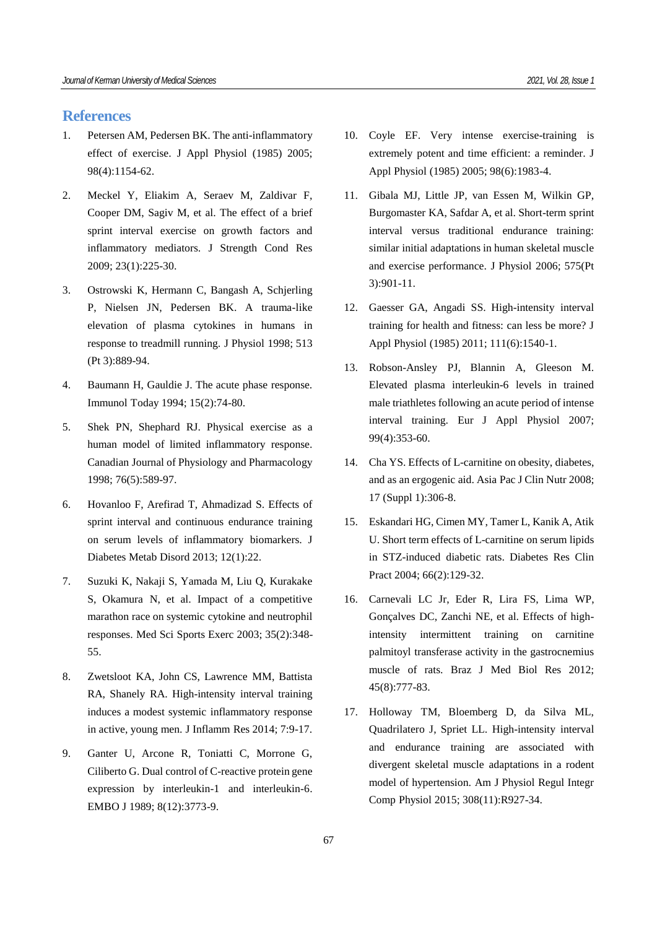## **References**

- 1. Petersen AM, Pedersen BK. The anti-inflammatory effect of exercise. J Appl Physiol (1985) 2005; 98(4):1154-62.
- 2. Meckel Y, Eliakim A, Seraev M, Zaldivar F, Cooper DM, Sagiv M, et al. The effect of a brief sprint interval exercise on growth factors and inflammatory mediators. J Strength Cond Res 2009; 23(1):225-30.
- 3. Ostrowski K, Hermann C, Bangash A, Schjerling P, Nielsen JN, Pedersen BK. A trauma-like elevation of plasma cytokines in humans in response to treadmill running. J Physiol 1998; 513 (Pt 3):889-94.
- 4. Baumann H, Gauldie J. The acute phase response. Immunol Today 1994; 15(2):74-80.
- 5. Shek PN, Shephard RJ. Physical exercise as a human model of limited inflammatory response. Canadian Journal of Physiology and Pharmacology 1998; 76(5):589-97.
- 6. Hovanloo F, Arefirad T, Ahmadizad S. Effects of sprint interval and continuous endurance training on serum levels of inflammatory biomarkers. J Diabetes Metab Disord 2013; 12(1):22.
- 7. Suzuki K, Nakaji S, Yamada M, Liu Q, Kurakake S, Okamura N, et al. Impact of a competitive marathon race on systemic cytokine and neutrophil responses. Med Sci Sports Exerc 2003; 35(2):348- 55.
- 8. Zwetsloot KA, John CS, Lawrence MM, Battista RA, Shanely RA. High-intensity interval training induces a modest systemic inflammatory response in active, young men. J Inflamm Res 2014; 7:9-17.
- 9. Ganter U, Arcone R, Toniatti C, Morrone G, Ciliberto G. Dual control of C-reactive protein gene expression by interleukin-1 and interleukin-6. EMBO J 1989; 8(12):3773-9.
- 10. Coyle EF. Very intense exercise-training is extremely potent and time efficient: a reminder. J Appl Physiol (1985) 2005; 98(6):1983-4.
- 11. Gibala MJ, Little JP, van Essen M, Wilkin GP, Burgomaster KA, Safdar A, et al. Short-term sprint interval versus traditional endurance training: similar initial adaptations in human skeletal muscle and exercise performance. J Physiol 2006; 575(Pt 3):901-11.
- 12. Gaesser GA, Angadi SS. High-intensity interval training for health and fitness: can less be more? J Appl Physiol (1985) 2011; 111(6):1540-1.
- 13. Robson-Ansley PJ, Blannin A, Gleeson M. Elevated plasma interleukin-6 levels in trained male triathletes following an acute period of intense interval training. Eur J Appl Physiol 2007; 99(4):353-60.
- 14. Cha YS. Effects of L-carnitine on obesity, diabetes, and as an ergogenic aid. Asia Pac J Clin Nutr 2008; 17 (Suppl 1):306-8.
- 15. Eskandari HG, Cimen MY, Tamer L, Kanik A, Atik U. Short term effects of L-carnitine on serum lipids in STZ-induced diabetic rats. Diabetes Res Clin Pract 2004; 66(2):129-32.
- 16. Carnevali LC Jr, Eder R, Lira FS, Lima WP, Gonçalves DC, Zanchi NE, et al. Effects of highintensity intermittent training on carnitine palmitoyl transferase activity in the gastrocnemius muscle of rats. Braz J Med Biol Res 2012; 45(8):777-83.
- 17. Holloway TM, Bloemberg D, da Silva ML, Quadrilatero J, Spriet LL. High-intensity interval and endurance training are associated with divergent skeletal muscle adaptations in a rodent model of hypertension. Am J Physiol Regul Integr Comp Physiol 2015; 308(11):R927-34.